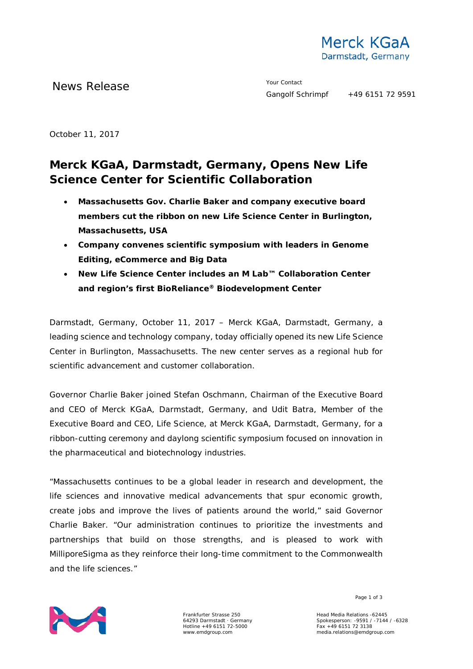

News Release **Your Contact** 

October 11, 2017

## **Merck KGaA, Darmstadt, Germany, Opens New Life Science Center for Scientific Collaboration**

- **Massachusetts Gov. Charlie Baker and company executive board members cut the ribbon on new Life Science Center in Burlington, Massachusetts, USA**
- **Company convenes scientific symposium with leaders in Genome Editing, eCommerce and Big Data**
- **New Life Science Center includes an M Lab™ Collaboration Center and region's first BioReliance® Biodevelopment Center**

Darmstadt, Germany, October 11, 2017 – Merck KGaA, Darmstadt, Germany, a leading science and technology company, today officially opened its new Life Science Center in Burlington, Massachusetts. The new center serves as a regional hub for scientific advancement and customer collaboration.

Governor Charlie Baker joined Stefan Oschmann, Chairman of the Executive Board and CEO of Merck KGaA, Darmstadt, Germany, and Udit Batra, Member of the Executive Board and CEO, Life Science, at Merck KGaA, Darmstadt, Germany, for a ribbon-cutting ceremony and daylong scientific symposium focused on innovation in the pharmaceutical and biotechnology industries.

"Massachusetts continues to be a global leader in research and development, the life sciences and innovative medical advancements that spur economic growth, create jobs and improve the lives of patients around the world," said Governor Charlie Baker. "Our administration continues to prioritize the investments and partnerships that build on those strengths, and is pleased to work with MilliporeSigma as they reinforce their long-time commitment to the Commonwealth and the life sciences."



Frankfurter Strasse 250 64293 Darmstadt · Germany Hotline +49 6151 72-5000 www.emdgroup.com

Page 1 of 3

Head Media Relations -62445 Spokesperson: -9591 / -7144 / -6328 Fax +49 6151 72 3138 media.relations@emdgroup.com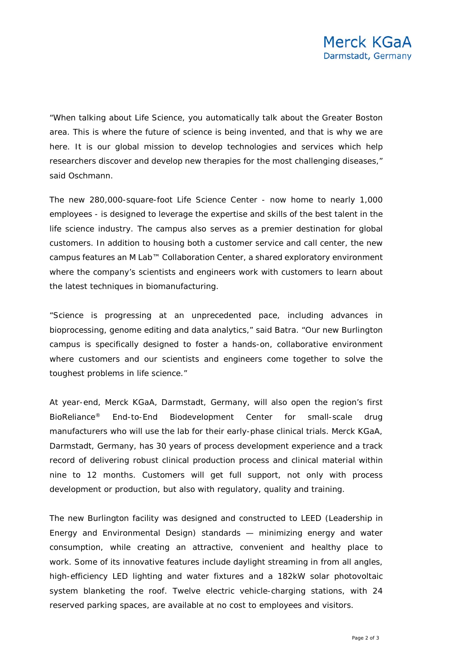"When talking about Life Science, you automatically talk about the Greater Boston area. This is where the future of science is being invented, and that is why we are here. It is our global mission to develop technologies and services which help researchers discover and develop new therapies for the most challenging diseases," said Oschmann.

The new 280,000-square-foot Life Science Center - now home to nearly 1,000 employees - is designed to leverage the expertise and skills of the best talent in the life science industry. The campus also serves as a premier destination for global customers. In addition to housing both a customer service and call center, the new campus features an M Lab™ Collaboration Center, a shared exploratory environment where the company's scientists and engineers work with customers to learn about the latest techniques in biomanufacturing.

"Science is progressing at an unprecedented pace, including advances in bioprocessing, genome editing and data analytics," said Batra. "Our new Burlington campus is specifically designed to foster a hands-on, collaborative environment where customers and our scientists and engineers come together to solve the toughest problems in life science."

At year-end, Merck KGaA, Darmstadt, Germany, will also open the region's first BioReliance® End-to-End Biodevelopment Center for small-scale drug manufacturers who will use the lab for their early-phase clinical trials. Merck KGaA, Darmstadt, Germany, has 30 years of process development experience and a track record of delivering robust clinical production process and clinical material within nine to 12 months. Customers will get full support, not only with process development or production, but also with regulatory, quality and training.

The new Burlington facility was designed and constructed to LEED (Leadership in Energy and Environmental Design) standards — minimizing energy and water consumption, while creating an attractive, convenient and healthy place to work. Some of its innovative features include daylight streaming in from all angles, high-efficiency LED lighting and water fixtures and a 182kW solar photovoltaic system blanketing the roof. Twelve electric vehicle-charging stations, with 24 reserved parking spaces, are available at no cost to employees and visitors.